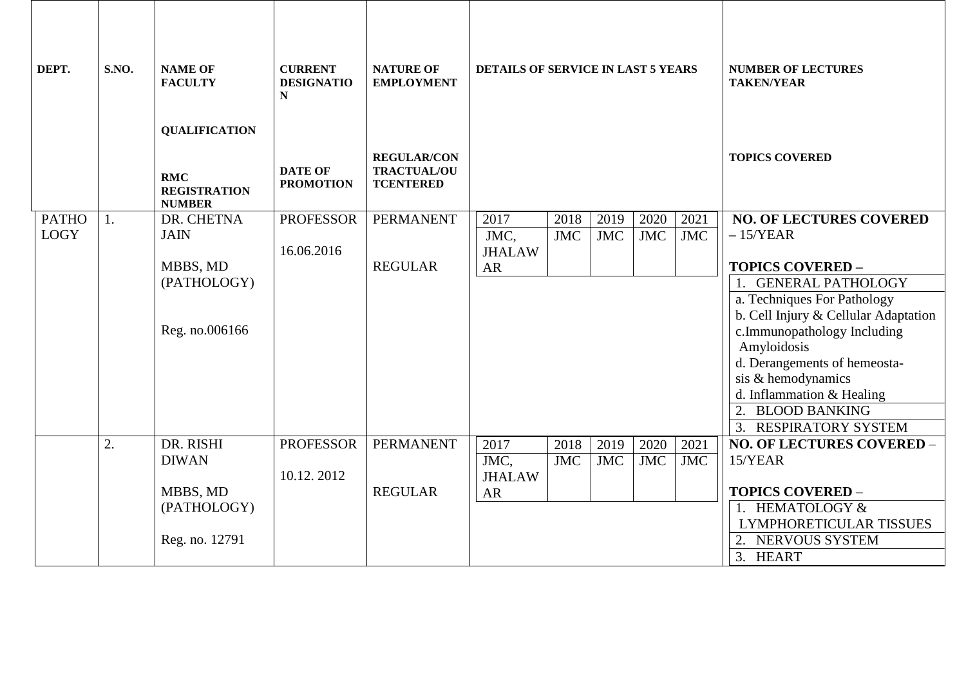| DEPT.        | S.NO. | <b>NAME OF</b><br><b>FACULTY</b><br><b>QUALIFICATION</b> | <b>CURRENT</b><br><b>DESIGNATIO</b><br>N | <b>NATURE OF</b><br><b>EMPLOYMENT</b>                        | DETAILS OF SERVICE IN LAST 5 YEARS |            |            |            | <b>NUMBER OF LECTURES</b><br><b>TAKEN/YEAR</b> |                                                                                                                                                                                                      |
|--------------|-------|----------------------------------------------------------|------------------------------------------|--------------------------------------------------------------|------------------------------------|------------|------------|------------|------------------------------------------------|------------------------------------------------------------------------------------------------------------------------------------------------------------------------------------------------------|
|              |       | <b>RMC</b><br><b>REGISTRATION</b><br><b>NUMBER</b>       | <b>DATE OF</b><br><b>PROMOTION</b>       | <b>REGULAR/CON</b><br><b>TRACTUAL/OU</b><br><b>TCENTERED</b> |                                    |            |            |            |                                                | <b>TOPICS COVERED</b>                                                                                                                                                                                |
| <b>PATHO</b> | 1.    | DR. CHETNA                                               | <b>PROFESSOR</b>                         | <b>PERMANENT</b>                                             | 2017                               | 2018       | 2019       | 2020       | 2021                                           | <b>NO. OF LECTURES COVERED</b>                                                                                                                                                                       |
| <b>LOGY</b>  |       | <b>JAIN</b>                                              |                                          |                                                              | JMC,                               | <b>JMC</b> | <b>JMC</b> | <b>JMC</b> | <b>JMC</b>                                     | $-15/YEAR$                                                                                                                                                                                           |
|              |       |                                                          | 16.06.2016                               | <b>REGULAR</b>                                               | <b>JHALAW</b>                      |            |            |            |                                                |                                                                                                                                                                                                      |
|              |       | MBBS, MD<br>(PATHOLOGY)                                  |                                          |                                                              | <b>AR</b>                          |            |            |            |                                                | <b>TOPICS COVERED -</b><br><b>GENERAL PATHOLOGY</b>                                                                                                                                                  |
|              |       | Reg. no.006166                                           |                                          |                                                              |                                    |            |            |            |                                                | a. Techniques For Pathology<br>b. Cell Injury & Cellular Adaptation<br>c.Immunopathology Including<br>Amyloidosis<br>d. Derangements of hemeosta-<br>sis & hemodynamics<br>d. Inflammation & Healing |
|              |       |                                                          |                                          |                                                              |                                    |            |            |            |                                                | 2. BLOOD BANKING                                                                                                                                                                                     |
|              | 2.    | DR. RISHI                                                | <b>PROFESSOR</b>                         | <b>PERMANENT</b>                                             | 2017                               | 2018       | 2019       | 2020       | 2021                                           | 3. RESPIRATORY SYSTEM<br>NO. OF LECTURES COVERED -                                                                                                                                                   |
|              |       | <b>DIWAN</b>                                             |                                          |                                                              | JMC,                               | <b>JMC</b> | <b>JMC</b> | <b>JMC</b> | <b>JMC</b>                                     | 15/YEAR                                                                                                                                                                                              |
|              |       |                                                          | 10.12.2012                               |                                                              | <b>JHALAW</b>                      |            |            |            |                                                |                                                                                                                                                                                                      |
|              |       | MBBS, MD                                                 |                                          | <b>REGULAR</b>                                               | <b>AR</b>                          |            |            |            |                                                | <b>TOPICS COVERED -</b>                                                                                                                                                                              |
|              |       | (PATHOLOGY)                                              |                                          |                                                              |                                    |            |            |            |                                                | 1. HEMATOLOGY &                                                                                                                                                                                      |
|              |       |                                                          |                                          |                                                              |                                    |            |            |            |                                                | LYMPHORETICULAR TISSUES                                                                                                                                                                              |
|              |       | Reg. no. 12791                                           |                                          |                                                              |                                    |            |            |            |                                                | 2. NERVOUS SYSTEM                                                                                                                                                                                    |
|              |       |                                                          |                                          |                                                              |                                    |            |            |            |                                                | 3. HEART                                                                                                                                                                                             |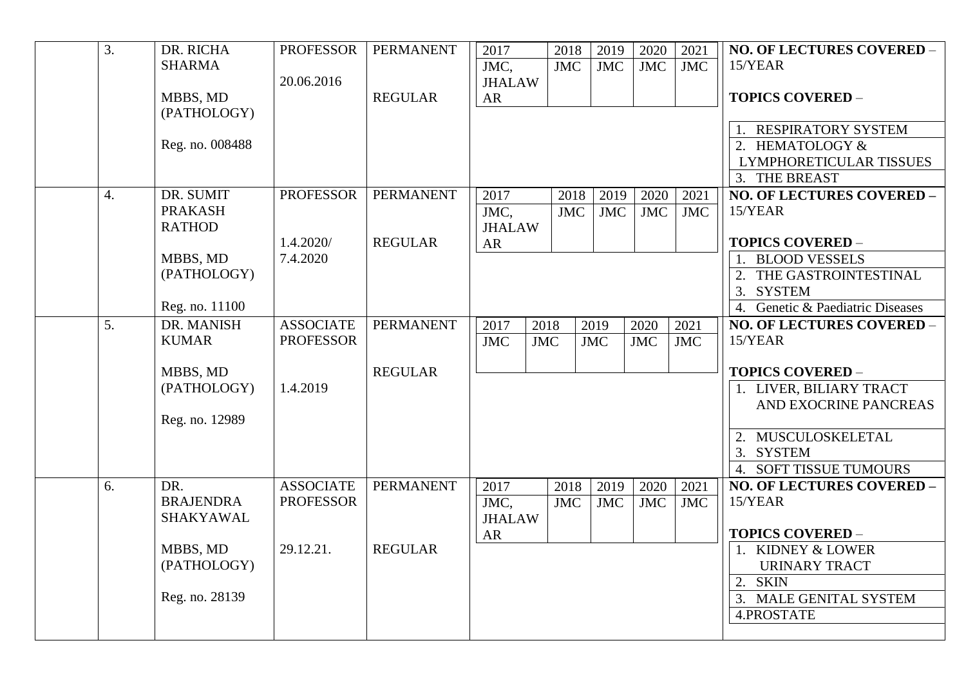| 3.               | DR. RICHA               | <b>PROFESSOR</b> | <b>PERMANENT</b> | 2017          |            | 2018       | 2019       | 2020       | 2021       | <b>NO. OF LECTURES COVERED -</b> |
|------------------|-------------------------|------------------|------------------|---------------|------------|------------|------------|------------|------------|----------------------------------|
|                  | <b>SHARMA</b>           |                  |                  | JMC,          |            | <b>JMC</b> | <b>JMC</b> | <b>JMC</b> | <b>JMC</b> | 15/YEAR                          |
|                  |                         | 20.06.2016       |                  | <b>JHALAW</b> |            |            |            |            |            |                                  |
|                  | MBBS, MD                |                  | <b>REGULAR</b>   | AR            |            |            |            |            |            | <b>TOPICS COVERED -</b>          |
|                  | (PATHOLOGY)             |                  |                  |               |            |            |            |            |            |                                  |
|                  |                         |                  |                  |               |            |            |            |            |            | 1. RESPIRATORY SYSTEM            |
|                  | Reg. no. 008488         |                  |                  |               |            |            |            |            |            | 2. HEMATOLOGY &                  |
|                  |                         |                  |                  |               |            |            |            |            |            | LYMPHORETICULAR TISSUES          |
|                  |                         |                  |                  |               |            |            |            |            |            | 3. THE BREAST                    |
| $\overline{4}$ . | DR. SUMIT               | <b>PROFESSOR</b> | <b>PERMANENT</b> | 2017          |            | 2018       | 2019       | 2020       | 2021       | <b>NO. OF LECTURES COVERED -</b> |
|                  | <b>PRAKASH</b>          |                  |                  | JMC,          |            | <b>JMC</b> | <b>JMC</b> | <b>JMC</b> | <b>JMC</b> | 15/YEAR                          |
|                  | <b>RATHOD</b>           |                  |                  | <b>JHALAW</b> |            |            |            |            |            |                                  |
|                  |                         | 1.4.2020/        | <b>REGULAR</b>   | <b>AR</b>     |            |            |            |            |            | <b>TOPICS COVERED -</b>          |
|                  | MBBS, MD                | 7.4.2020         |                  |               |            |            |            |            |            | 1. BLOOD VESSELS                 |
|                  | (PATHOLOGY)             |                  |                  |               |            |            |            |            |            | 2. THE GASTROINTESTINAL          |
|                  |                         |                  |                  |               |            |            |            |            |            | 3. SYSTEM                        |
|                  | Reg. no. 11100          |                  |                  |               |            |            |            |            |            | 4. Genetic & Paediatric Diseases |
| 5.               | DR. MANISH              | <b>ASSOCIATE</b> | <b>PERMANENT</b> | 2017          | 2018       |            | 2019       | 2020       | 2021       | NO. OF LECTURES COVERED -        |
|                  | <b>KUMAR</b>            | <b>PROFESSOR</b> |                  | <b>JMC</b>    | <b>JMC</b> |            | <b>JMC</b> | <b>JMC</b> | <b>JMC</b> | 15/YEAR                          |
|                  |                         |                  |                  |               |            |            |            |            |            |                                  |
|                  | MBBS, MD                |                  | <b>REGULAR</b>   |               |            |            |            |            |            | <b>TOPICS COVERED -</b>          |
|                  | (PATHOLOGY)             | 1.4.2019         |                  |               |            |            |            |            |            | 1. LIVER, BILIARY TRACT          |
|                  |                         |                  |                  |               |            |            |            |            |            | AND EXOCRINE PANCREAS            |
|                  | Reg. no. 12989          |                  |                  |               |            |            |            |            |            |                                  |
|                  |                         |                  |                  |               |            |            |            |            |            | 2. MUSCULOSKELETAL               |
|                  |                         |                  |                  |               |            |            |            |            |            | 3. SYSTEM                        |
|                  |                         |                  |                  |               |            |            |            |            |            | 4. SOFT TISSUE TUMOURS           |
| 6.               | DR.                     | <b>ASSOCIATE</b> | <b>PERMANENT</b> | 2017          |            | 2018       | 2019       | 2020       | 2021       | <b>NO. OF LECTURES COVERED -</b> |
|                  | <b>BRAJENDRA</b>        | <b>PROFESSOR</b> |                  | JMC,          |            | <b>JMC</b> | <b>JMC</b> | <b>JMC</b> | <b>JMC</b> | 15/YEAR                          |
|                  | SHAKYAWAL               |                  |                  | <b>JHALAW</b> |            |            |            |            |            |                                  |
|                  |                         |                  |                  | <b>AR</b>     |            |            |            |            |            | <b>TOPICS COVERED -</b>          |
|                  | MBBS, MD<br>(PATHOLOGY) | 29.12.21.        | <b>REGULAR</b>   |               |            |            |            |            |            | 1. KIDNEY & LOWER                |
|                  |                         |                  |                  |               |            |            |            |            |            | <b>URINARY TRACT</b>             |
|                  | Reg. no. 28139          |                  |                  |               |            |            |            |            |            | 2. SKIN                          |
|                  |                         |                  |                  |               |            |            |            |            |            | 3. MALE GENITAL SYSTEM           |
|                  |                         |                  |                  |               |            |            |            |            |            | <b>4.PROSTATE</b>                |
|                  |                         |                  |                  |               |            |            |            |            |            |                                  |